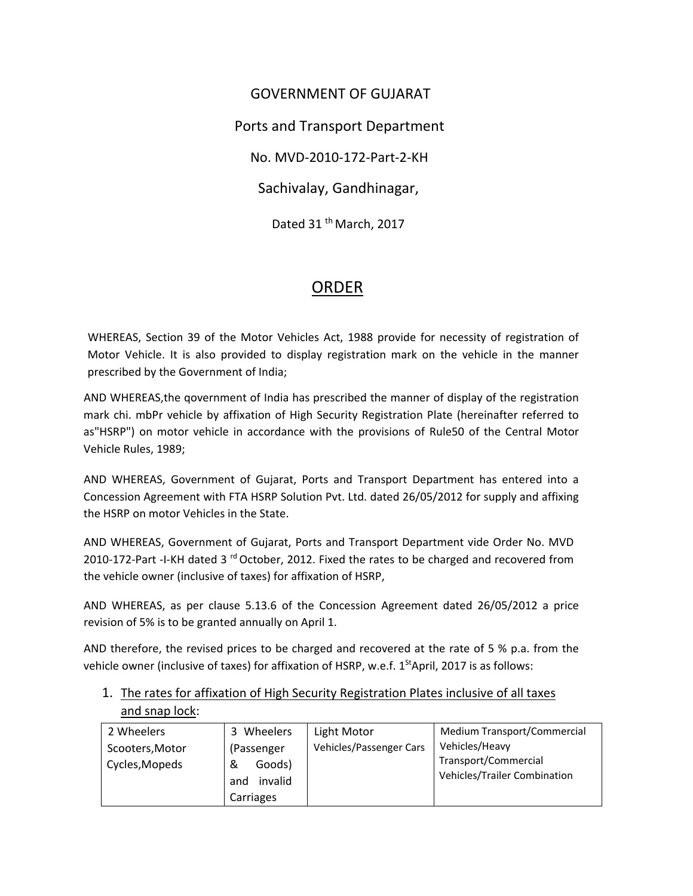GOVERNMENT OF GUJARAT Ports and Transport Department No. MVD‐2010‐172‐Part‐2‐KH Sachivalay, Gandhinagar, Dated 31<sup>th</sup> March, 2017

## ORDER

WHEREAS, Section 39 of the Motor Vehicles Act, 1988 provide for necessity of registration of Motor Vehicle. It is also provided to display registration mark on the vehicle in the manner prescribed by the Government of India;

AND WHEREAS,the qovernment of India has prescribed the manner of display of the registration mark chi. mbPr vehicle by affixation of High Security Registration Plate (hereinafter referred to as"HSRP") on motor vehicle in accordance with the provisions of Rule50 of the Central Motor Vehicle Rules, 1989;

AND WHEREAS, Government of Gujarat, Ports and Transport Department has entered into a Concession Agreement with FTA HSRP Solution Pvt. Ltd. dated 26/05/2012 for supply and affixing the HSRP on motor Vehicles in the State.

AND WHEREAS, Government of Gujarat, Ports and Transport Department vide Order No. MVD 2010-172-Part -I-KH dated 3<sup>rd</sup> October, 2012. Fixed the rates to be charged and recovered from the vehicle owner (inclusive of taxes) for affixation of HSRP,

AND WHEREAS, as per clause 5.13.6 of the Concession Agreement dated 26/05/2012 a price revision of 5% is to be granted annually on April 1.

AND therefore, the revised prices to be charged and recovered at the rate of 5 % p.a. from the vehicle owner (inclusive of taxes) for affixation of HSRP, w.e.f.  $1^{st}$ April, 2017 is as follows:

| and snap lock:  |            |                         |                             |
|-----------------|------------|-------------------------|-----------------------------|
| 2 Wheelers      | 3 Wheelers | Light Motor             | Medium Transport/Commercial |
| Scooters, Motor | (Passenger | Vehicles/Passenger Cars | Vehicles/Heavy              |

Transport/Commercial Vehicles/Trailer Combination

1. The rates for affixation of High Security Registration Plates inclusive of all taxes

& Goods) and invalid Carriages

Cycles,Mopeds